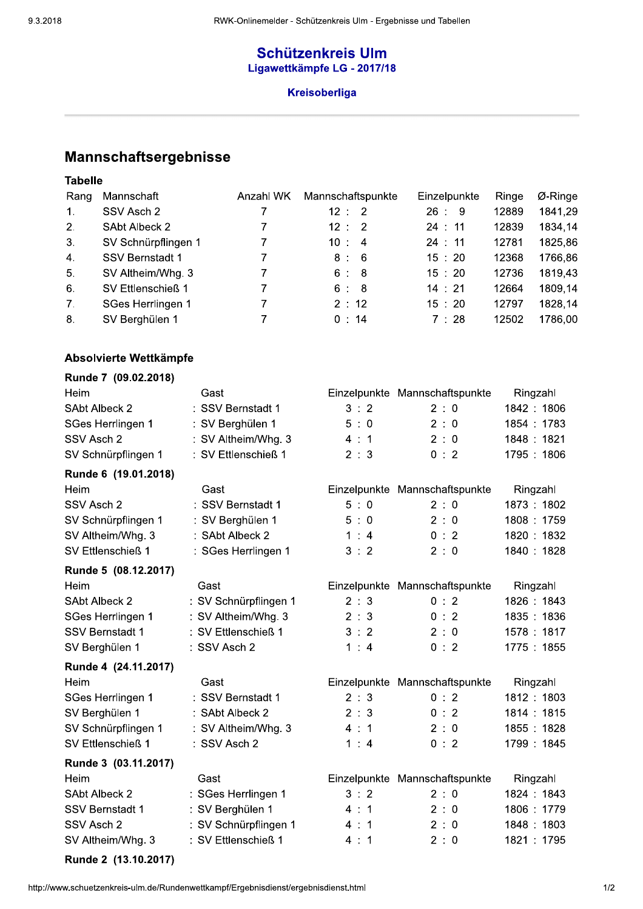# **Schützenkreis Ulm** Ligawettkämpfe LG - 2017/18

### Kreisoberliga

# Mannschaftsergebnisse

## **Tabelle**

| Rang           | Mannschaft             | Anzahl WK | Mannschaftspunkte | Einzelpunkte | Ringe | $Ø$ -Ringe |
|----------------|------------------------|-----------|-------------------|--------------|-------|------------|
| $\mathbf{1}$ . | SSV Asch 2             |           | 12:<br>-2         | 26:<br>- 9   | 12889 | 1841,29    |
| 2.             | SAbt Albeck 2          |           | 12:<br>-2         | 24:11        | 12839 | 1834,14    |
| 3.             | SV Schnürpflingen 1    |           | 10:<br>4          | 24:11        | 12781 | 1825,86    |
| $\mathbf{A}$ . | <b>SSV Bernstadt 1</b> |           | - 6<br>8:         | 15:20        | 12368 | 1766,86    |
| 5.             | SV Altheim/Whg. 3      |           | -8<br>6 :         | 15:20        | 12736 | 1819,43    |
| 6.             | SV Ettlenschieß 1      |           | 6:<br>-8          | 14:21        | 12664 | 1809,14    |
| 7.             | SGes Herrlingen 1      |           | 2:12              | 15:20        | 12797 | 1828,14    |
| 8.             | SV Berghülen 1         |           | 0:14              | 7:28         | 12502 | 1786,00    |

### Absolvierte Wettkämpfe

| Runde 7 (09.02.2018)   |                       |              |                                |            |
|------------------------|-----------------------|--------------|--------------------------------|------------|
| Heim                   | Gast                  |              | Einzelpunkte Mannschaftspunkte | Ringzahl   |
| SAbt Albeck 2          | : SSV Bernstadt 1     | 3:2          | 2:0                            | 1842: 1806 |
| SGes Herrlingen 1      | : SV Berghülen 1      | 5:0          | 2:0                            | 1854: 1783 |
| SSV Asch 2             | : SV Altheim/Whg. 3   | 4:1          | 2:0                            | 1848: 1821 |
| SV Schnürpflingen 1    | : SV Ettlenschieß 1   | 2 : 3        | 0:2                            | 1795: 1806 |
| Runde 6 (19.01.2018)   |                       |              |                                |            |
| Heim                   | Gast                  |              | Einzelpunkte Mannschaftspunkte | Ringzahl   |
| SSV Asch 2             | : SSV Bernstadt 1     | 5:0          | 2:0                            | 1873: 1802 |
| SV Schnürpflingen 1    | : SV Berghülen 1      | 5:0          | 2:0                            | 1808: 1759 |
| SV Altheim/Whg. 3      | : SAbt Albeck 2       | 1:4          | 0:2                            | 1820: 1832 |
| SV Ettlenschieß 1      | : SGes Herrlingen 1   | 3:2          | 2:0                            | 1840: 1828 |
| Runde 5 (08.12.2017)   |                       |              |                                |            |
| Heim                   | Gast                  |              | Einzelpunkte Mannschaftspunkte | Ringzahl   |
| <b>SAbt Albeck 2</b>   | : SV Schnürpflingen 1 | 2:3          | 0:2                            | 1826: 1843 |
| SGes Herrlingen 1      | : SV Altheim/Whg. 3   | 2 : 3        | 0:2                            | 1835: 1836 |
| <b>SSV Bernstadt 1</b> | : SV Ettlenschieß 1   | 3:2          | 2:0                            | 1578: 1817 |
| SV Berghülen 1         | : SSV Asch 2          | 1:4          | 0:2                            | 1775: 1855 |
| Runde 4 (24.11.2017)   |                       |              |                                |            |
| Heim                   | Gast                  | Einzelpunkte | Mannschaftspunkte              | Ringzahl   |
| SGes Herrlingen 1      | : SSV Bernstadt 1     | 2 : 3        | 0:2                            | 1812: 1803 |
| SV Berghülen 1         | : SAbt Albeck 2       | 2 : 3        | 0:2                            | 1814: 1815 |
| SV Schnürpflingen 1    | : SV Altheim/Whg. 3   | 4:1          | 2:0                            | 1855: 1828 |
| SV Ettlenschieß 1      | : SSV Asch 2          | 1:4          | 0:2                            | 1799: 1845 |
| Runde 3 (03.11.2017)   |                       |              |                                |            |
| Heim                   | Gast                  |              | Einzelpunkte Mannschaftspunkte | Ringzahl   |
| <b>SAbt Albeck 2</b>   | : SGes Herrlingen 1   | 3:2          | 2:0                            | 1824: 1843 |
| <b>SSV Bernstadt 1</b> | : SV Berghülen 1      | 4:1          | 2:0                            | 1806: 1779 |
| SSV Asch 2             | : SV Schnürpflingen 1 | 4:1          | 2:0                            | 1848: 1803 |
| SV Altheim/Whg. 3      | : SV Ettlenschieß 1   | 4:1          | 2:0                            | 1821: 1795 |
|                        |                       |              |                                |            |

Runde 2 (13.10.2017)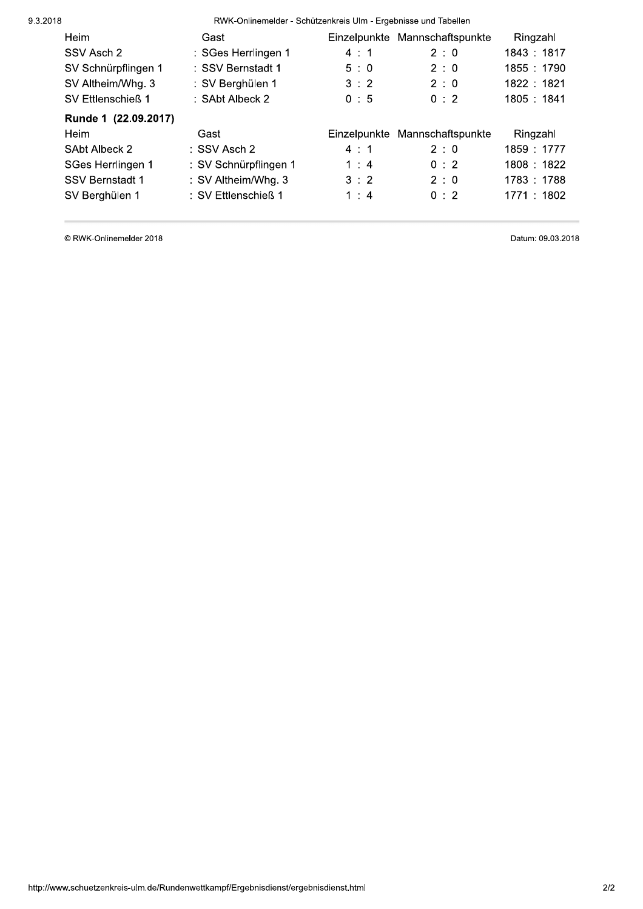RWK-Onlinemelder - Schützenkreis Ulm - Ergebnisse und Tabellen

| Heim                 | Gast                    |     | Einzelpunkte Mannschaftspunkte | Ringzahl    |
|----------------------|-------------------------|-----|--------------------------------|-------------|
| SSV Asch 2           | : SGes Herrlingen 1     | 4:1 | 2:0                            | 1843: 1817  |
| SV Schnürpflingen 1  | : SSV Bernstadt 1       | 5:0 | 2:0                            | 1855 : 1790 |
| SV Altheim/Whg. 3    | : SV Berghülen 1        | 3:2 | 2:0                            | 1822: 1821  |
| SV Ettlenschieß 1    | : SAbt Albeck 2         | 0:5 | 0:2                            | 1805: 1841  |
| Runde 1 (22.09.2017) |                         |     |                                |             |
| Heim                 | Gast                    |     | Einzelpunkte Mannschaftspunkte | Ringzahl    |
| SAbt Albeck 2        | $\therefore$ SSV Asch 2 | 4:1 | 2:0                            | 1859: 1777  |
| SGes Herrlingen 1    | : SV Schnürpflingen 1   | 1:4 | 0:2                            | 1808: 1822  |
| SSV Bernstadt 1      | : SV Altheim/Whg. 3     | 3:2 | 2:0                            | 1783: 1788  |
| SV Berghülen 1       | : SV Ettlenschieß 1     | 1:4 | 0:2                            | 1771 : 1802 |

© RWK-Onlinemelder 2018

Datum: 09.03.2018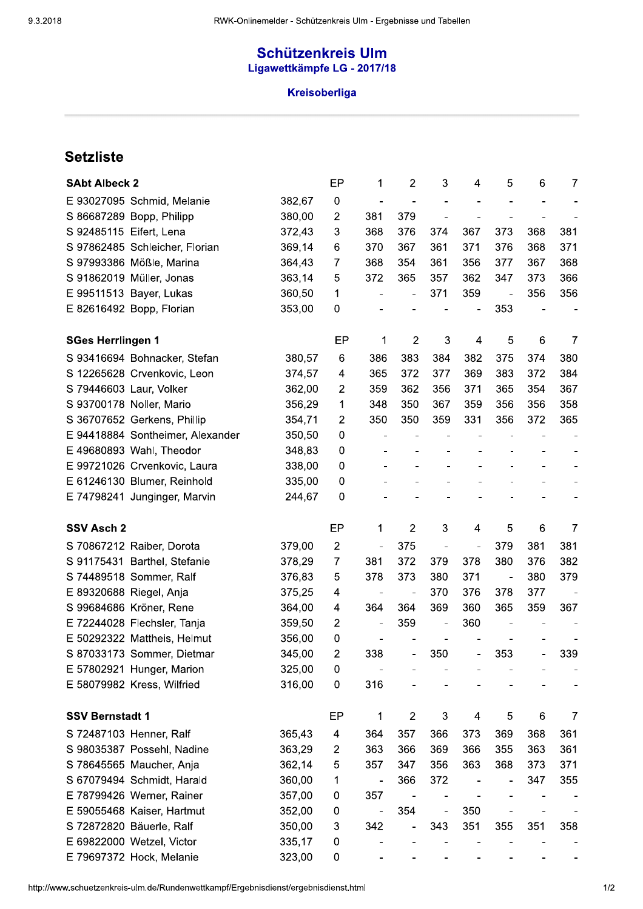# Schützenkreis Ulm Ligawettkämpfe LG - 2017/18

#### 4 Kreisoberliga

| <b>SAbt Albeck 2</b>     |                                                                                     |        | EP             | 1                            | $\overline{2}$ | 3              | 4                            | 5                            | 6              | 7   |
|--------------------------|-------------------------------------------------------------------------------------|--------|----------------|------------------------------|----------------|----------------|------------------------------|------------------------------|----------------|-----|
|                          | E 93027095 Schmid, Melanie                                                          | 382,67 | $\mathbf 0$    | $\qquad \qquad \blacksquare$ | $\blacksquare$ |                |                              |                              |                |     |
|                          | S 86687289 Bopp, Philipp                                                            | 380,00 | $\overline{2}$ | 381                          | 379            |                |                              |                              |                |     |
| S 92485115 Eifert, Lena  |                                                                                     | 372,43 | 3              | 368                          | 376            | 374            | 367                          | 373                          | 368            | 381 |
|                          | S 97862485 Schleicher, Florian                                                      | 369,14 | 6              | 370                          | 367            | 361            | 371                          | 376                          | 368            | 371 |
|                          | S 97993386 Mößle, Marina                                                            | 364,43 | 7              | 368                          | 354            | 361            | 356                          | 377                          | 367            | 368 |
|                          | S 91862019 Müller, Jonas                                                            | 363,14 | 5              | 372                          | 365            | 357            | 362                          | 347                          | 373            | 366 |
|                          | E 99511513 Bayer, Lukas                                                             | 360,50 | 1              | $\qquad \qquad \blacksquare$ | $\blacksquare$ | 371            | 359                          | $\qquad \qquad \blacksquare$ | 356            | 356 |
|                          | E 82616492 Bopp, Florian                                                            | 353,00 | 0              |                              |                |                |                              | 353                          |                |     |
| <b>SGes Herrlingen 1</b> |                                                                                     |        | EP             | 1                            | 2              | 3              | 4                            | 5                            | $6\phantom{1}$ | 7   |
|                          | S 93416694 Bohnacker, Stefan                                                        | 380,57 | 6              | 386                          | 383            | 384            | 382                          | 375                          | 374            | 380 |
|                          | S 12265628 Crvenkovic, Leon                                                         | 374,57 | 4              | 365                          | 372            | 377            | 369                          | 383                          | 372            | 384 |
|                          | S 79446603 Laur, Volker                                                             | 362,00 | $\overline{2}$ | 359                          | 362            | 356            | 371                          | 365                          | 354            | 367 |
|                          | S 93700178 Noller, Mario                                                            | 356,29 | 1              | 348                          | 350            | 367            | 359                          | 356                          | 356            | 358 |
|                          | S 36707652 Gerkens, Phillip                                                         | 354,71 | 2              | 350                          | 350            | 359            | 331                          | 356                          | 372            | 365 |
|                          | E 94418884 Sontheimer, Alexander                                                    | 350,50 | 0              | ÷,                           |                |                |                              |                              |                |     |
|                          | E 49680893 Wahl, Theodor                                                            | 348,83 | 0              |                              |                |                |                              |                              |                |     |
|                          | E 99721026 Crvenkovic, Laura                                                        | 338,00 | 0              |                              |                |                |                              |                              |                |     |
|                          | E 61246130 Blumer, Reinhold                                                         | 335,00 | $\mathbf 0$    |                              |                |                |                              |                              |                |     |
|                          | E 74798241 Junginger, Marvin                                                        | 244,67 | $\mathbf{0}$   |                              |                |                |                              |                              |                |     |
| SSV Asch 2               |                                                                                     |        | EP             | 1                            | $\overline{c}$ | 3              | 4                            | 5                            | $6\phantom{1}$ | 7   |
|                          | S 70867212 Raiber, Dorota                                                           | 379,00 | $\overline{2}$ | $\blacksquare$               | 375            | $\blacksquare$ | $\blacksquare$               | 379                          | 381            | 381 |
|                          | S 91175431 Barthel, Stefanie                                                        | 378,29 | $\overline{7}$ | 381                          | 372            | 379            | 378                          | 380                          | 376            | 382 |
|                          | S 74489518 Sommer, Ralf                                                             | 376,83 | 5              | 378                          | 373            | 380            | 371                          | ÷,                           | 380            | 379 |
|                          | E 89320688 Riegel, Anja                                                             | 375,25 | 4              |                              |                | 370            | 376                          | 378                          | 377            |     |
|                          | S 99684686 Kröner, Rene                                                             | 364,00 | 4              | 364                          | 364            | 369            | 360                          | 365                          | 359            | 367 |
|                          | E 72244028 Flechsler, Tanja                                                         | 359,50 | 2              | $\qquad \qquad \blacksquare$ | 359            |                | 360                          |                              |                |     |
|                          | E 50292322 Mattheis, Helmut                                                         | 356,00 | 0              |                              |                |                |                              |                              |                |     |
|                          | S 87033173 Sommer, Dietmar                                                          | 345,00 | $\overline{2}$ | 338                          | ÷              | 350            | ÷,                           | 353                          |                | 339 |
|                          | E 57802921 Hunger, Marion                                                           | 325,00 | 0              |                              |                |                |                              |                              |                |     |
|                          | E 58079982 Kress, Wilfried                                                          | 316,00 | 0              | 316                          |                |                |                              |                              |                |     |
| <b>SSV Bernstadt 1</b>   |                                                                                     |        | EP             | 1                            | $\mathbf{2}$   | 3              | 4                            | 5                            | $\,6$          | 7   |
|                          | S 72487103 Henner, Ralf                                                             | 365,43 | 4              | 364                          | 357            | 366            | 373                          | 369                          | 368            | 361 |
|                          | S 98035387 Possehl, Nadine                                                          | 363,29 | $\overline{2}$ | 363                          | 366            | 369            | 366                          | 355                          | 363            | 361 |
|                          | S 78645565 Maucher, Anja                                                            | 362,14 | 5              | 357                          | 347            | 356            | 363                          | 368                          | 373            | 371 |
|                          | S 67079494 Schmidt, Harald                                                          | 360,00 | 1              | $\qquad \qquad \blacksquare$ | 366            | 372            | $\qquad \qquad \blacksquare$ | $\overline{a}$               | 347            | 355 |
|                          | E 78799426 Werner, Rainer                                                           | 357,00 | 0              | 357                          | $\overline{a}$ |                |                              |                              |                |     |
|                          | E 59055468 Kaiser, Hartmut                                                          | 352,00 | 0              | $\blacksquare$               | 354            | $\frac{1}{2}$  | 350                          |                              |                |     |
|                          | S 72872820 Bäuerle, Ralf                                                            | 350,00 | 3              | 342                          | $\blacksquare$ | 343            | 351                          | 355                          | 351            | 358 |
|                          | E 69822000 Wetzel, Victor                                                           | 335,17 | 0              |                              |                |                |                              |                              |                |     |
|                          | E 79697372 Hock, Melanie                                                            | 323,00 | 0              |                              |                |                |                              |                              |                |     |
|                          | ittp://www.schuetzenkreis-ulm.de/Rundenwettkampf/Ergebnisdienst/ergebnisdienst.html |        |                |                              |                |                |                              |                              |                |     |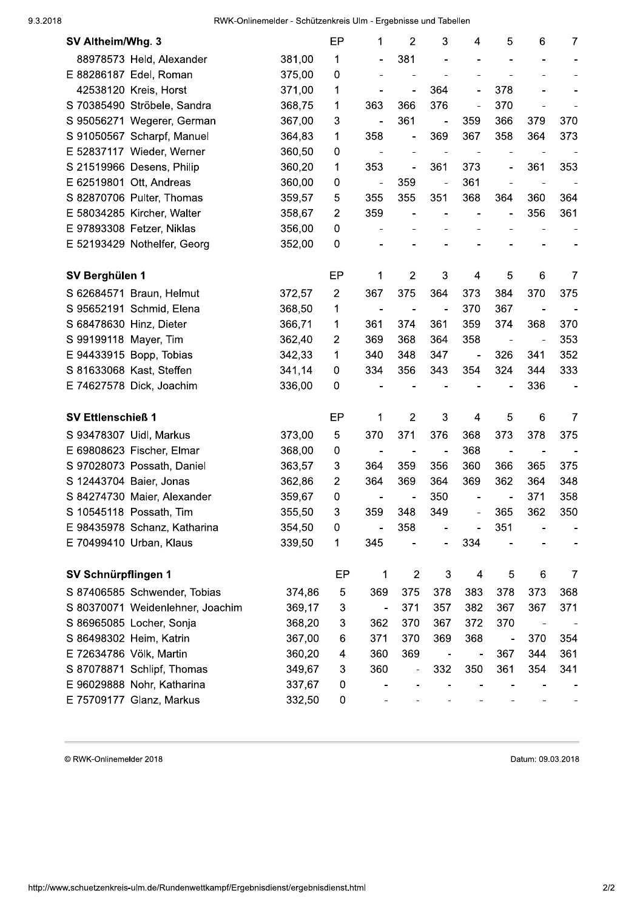RWK-Onlinemelder - Schützenkreis Ulm - Ergebnisse und Tabellen

| SV Altheim/Whg. 3                |        | EP             | 1                        | $\overline{2}$               | 3                        | 4                            | 5                            | 6                        | $\overline{7}$ |
|----------------------------------|--------|----------------|--------------------------|------------------------------|--------------------------|------------------------------|------------------------------|--------------------------|----------------|
| 88978573 Held, Alexander         | 381,00 | 1              |                          | 381                          |                          |                              |                              |                          |                |
| E 88286187 Edel, Roman           | 375,00 | 0              |                          |                              |                          |                              |                              |                          |                |
| 42538120 Kreis, Horst            | 371,00 | 1              | $\blacksquare$           | $\frac{1}{2}$                | 364                      | ä,                           | 378                          |                          |                |
| S 70385490 Ströbele, Sandra      | 368,75 | 1              | 363                      | 366                          | 376                      | ÷,                           | 370                          |                          |                |
| S 95056271 Wegerer, German       | 367,00 | 3              | ÷,                       | 361                          | $\overline{\phantom{a}}$ | 359                          | 366                          | 379                      | 370            |
| S 91050567 Scharpf, Manuel       | 364,83 | 1              | 358                      | $\qquad \qquad \blacksquare$ | 369                      | 367                          | 358                          | 364                      | 373            |
| E 52837117 Wieder, Werner        | 360,50 | 0              | $\blacksquare$           |                              | $\overline{\phantom{a}}$ | $\overline{a}$               |                              |                          |                |
| S 21519966 Desens, Philip        | 360,20 | 1              | 353                      | $\blacksquare$               | 361                      | 373                          | $\overline{\phantom{0}}$     | 361                      | 353            |
| E 62519801 Ott, Andreas          | 360,00 | 0              | $\overline{\phantom{a}}$ | 359                          | $\blacksquare$           | 361                          |                              | $\blacksquare$           |                |
| S 82870706 Pulter, Thomas        | 359,57 | 5              | 355                      | 355                          | 351                      | 368                          | 364                          | 360                      | 364            |
| E 58034285 Kircher, Walter       | 358,67 | $\overline{2}$ | 359                      |                              | $\blacksquare$           | $\qquad \qquad \blacksquare$ | $\qquad \qquad \blacksquare$ | 356                      | 361            |
| E 97893308 Fetzer, Niklas        | 356,00 | 0              |                          |                              |                          |                              |                              |                          |                |
| E 52193429 Nothelfer, Georg      | 352,00 | 0              |                          |                              |                          |                              |                              |                          |                |
| SV Berghülen 1                   |        | EP             | 1                        | $\overline{2}$               | 3                        | 4                            | 5                            | $6\phantom{1}6$          | $\overline{7}$ |
| S 62684571 Braun, Helmut         | 372,57 | $\overline{2}$ | 367                      | 375                          | 364                      | 373                          | 384                          | 370                      | 375            |
| S 95652191 Schmid, Elena         | 368,50 | 1              | $\blacksquare$           |                              | $\blacksquare$           | 370                          | 367                          |                          |                |
| S 68478630 Hinz, Dieter          | 366,71 | 1              | 361                      | 374                          | 361                      | 359                          | 374                          | 368                      | 370            |
| S 99199118 Mayer, Tim            | 362,40 | 2              | 369                      | 368                          | 364                      | 358                          |                              | $\overline{\phantom{0}}$ | 353            |
| E 94433915 Bopp, Tobias          | 342,33 | 1              | 340                      | 348                          | 347                      | $\blacksquare$               | 326                          | 341                      | 352            |
| S 81633068 Kast, Steffen         | 341,14 | 0              | 334                      | 356                          | 343                      | 354                          | 324                          | 344                      | 333            |
| E 74627578 Dick, Joachim         | 336,00 | 0              |                          |                              |                          |                              |                              | 336                      |                |
| <b>SV Ettlenschieß 1</b>         |        | EP             | 1                        | $\overline{2}$               | 3                        | 4                            | 5                            | $6\phantom{1}6$          | $\overline{7}$ |
| S 93478307 Uidl, Markus          | 373,00 | 5              | 370                      | 371                          | 376                      | 368                          | 373                          | 378                      | 375            |
| E 69808623 Fischer, Elmar        | 368,00 | 0              | $\blacksquare$           | $\blacksquare$               | $\blacksquare$           | 368                          | $\qquad \qquad \blacksquare$ |                          |                |
| S 97028073 Possath, Daniel       | 363,57 | 3              | 364                      | 359                          | 356                      | 360                          | 366                          | 365                      | 375            |
| S 12443704 Baier, Jonas          | 362,86 | $\overline{2}$ | 364                      | 369                          | 364                      | 369                          | 362                          | 364                      | 348            |
| S 84274730 Maier, Alexander      | 359,67 | 0              |                          |                              | 350                      |                              |                              | 371                      | 358            |
| S 10545118 Possath, Tim          | 355,50 | 3              | 359                      | 348                          | 349                      |                              | 365                          | 362                      | 350            |
| E 98435978 Schanz, Katharina     | 354,50 | 0              |                          | 358                          |                          |                              | 351                          |                          |                |
| E 70499410 Urban, Klaus          | 339,50 | 1              | 345                      |                              |                          | 334                          |                              |                          |                |
| SV Schnürpflingen 1              |        | EP             | 1                        | $\overline{c}$               | 3                        | $\overline{\mathcal{A}}$     | 5                            | 6                        | 7              |
| S 87406585 Schwender, Tobias     | 374,86 | 5              | 369                      | 375                          | 378                      | 383                          | 378                          | 373                      | 368            |
| S 80370071 Weidenlehner, Joachim | 369,17 | 3              | $\overline{\phantom{0}}$ | 371                          | 357                      | 382                          | 367                          | 367                      | 371            |
| S 86965085 Locher, Sonja         | 368,20 | 3              | 362                      | 370                          | 367                      | 372                          | 370                          |                          |                |
| S 86498302 Heim, Katrin          | 367,00 | 6              | 371                      | 370                          | 369                      | 368                          |                              | 370                      | 354            |
| E 72634786 Völk, Martin          | 360,20 | 4              | 360                      | 369                          |                          |                              | 367                          | 344                      | 361            |
| S 87078871 Schlipf, Thomas       | 349,67 | 3              | 360                      |                              | 332                      | 350                          | 361                          | 354                      | 341            |
| E 96029888 Nohr, Katharina       | 337,67 | 0              |                          |                              |                          |                              |                              |                          |                |
| E 75709177 Glanz, Markus         | 332,50 | 0              |                          |                              |                          |                              |                              |                          |                |

© RWK-Onlinemelder 2018

Datum: 09.03.2018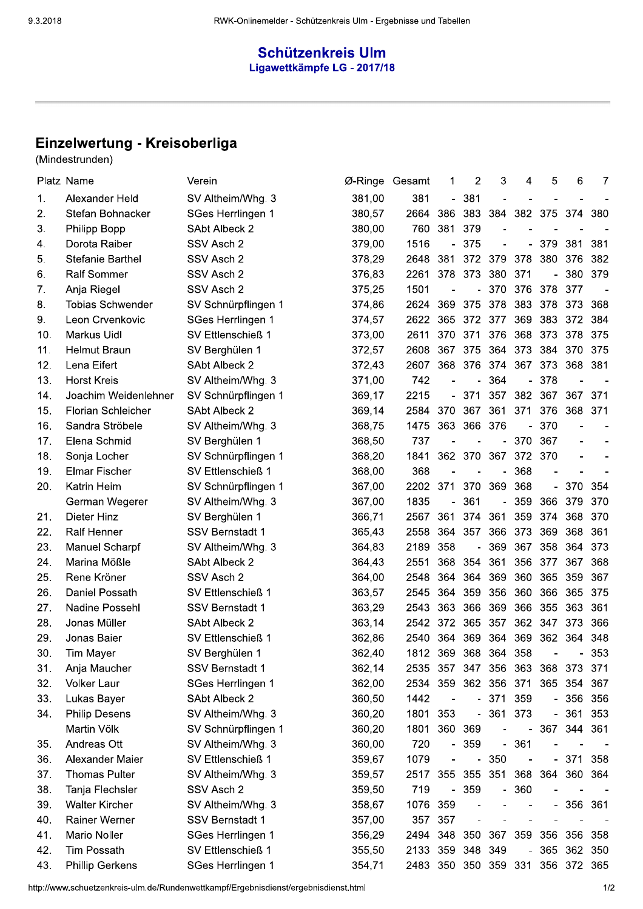## Schützenkreis Ulm Ligawettkämpfe LG - 2017/18

# Einzelwertung - Kreisoberliga

|     | Platz Name              | Verein                 | Ø-Ringe Gesamt |                      | 1              | $\overline{2}$           | 3                        | 4                        | 5                        | 6           | 7   |
|-----|-------------------------|------------------------|----------------|----------------------|----------------|--------------------------|--------------------------|--------------------------|--------------------------|-------------|-----|
| 1.  | Alexander Held          | SV Altheim/Whg. 3      | 381,00         | 381                  |                | $-381$                   |                          |                          |                          |             |     |
| 2.  | Stefan Bohnacker        | SGes Herrlingen 1      | 380,57         | 2664                 | 386            | 383                      | 384                      |                          | 382 375                  | 374         | 380 |
| 3.  | Philipp Bopp            | SAbt Albeck 2          | 380,00         | 760                  | 381            | 379                      |                          |                          |                          |             |     |
| 4.  | Dorota Raiber           | SSV Asch 2             | 379,00         | 1516                 | -              | 375                      |                          | -                        | 379                      | 381         | 381 |
| 5.  | <b>Stefanie Barthel</b> | SSV Asch 2             | 378,29         | 2648                 | 381            | 372                      | 379                      | 378                      | 380                      | 376         | 382 |
| 6.  | <b>Ralf Sommer</b>      | SSV Asch 2             | 376,83         | 2261                 |                | 378 373                  | 380                      | 371                      |                          | 380         | 379 |
| 7.  | Anja Riegel             | SSV Asch 2             | 375,25         | 1501                 |                |                          | $-370$                   | 376                      | 378                      | 377         |     |
| 8.  | <b>Tobias Schwender</b> | SV Schnürpflingen 1    | 374,86         | 2624                 | 369            | 375                      | 378                      | 383                      | 378                      | 373         | 368 |
| 9.  | Leon Crvenkovic         | SGes Herrlingen 1      | 374,57         | 2622                 | 365            | 372                      | 377                      | 369                      | 383                      | 372         | 384 |
| 10. | <b>Markus Uidl</b>      | SV Ettlenschieß 1      | 373,00         | 2611                 | 370            | 371                      | 376                      | 368                      | 373                      | 378         | 375 |
| 11. | <b>Helmut Braun</b>     | SV Berghülen 1         | 372,57         | 2608                 | 367            | 375                      | 364                      | 373                      | 384                      | 370         | 375 |
| 12. | Lena Eifert             | SAbt Albeck 2          | 372,43         | 2607                 |                | 368 376                  | 374                      | 367                      | 373                      | 368 381     |     |
| 13. | <b>Horst Kreis</b>      | SV Altheim/Whg. 3      | 371,00         | 742                  |                |                          | 364                      | $\overline{\phantom{0}}$ | 378                      |             |     |
| 14. | Joachim Weidenlehner    | SV Schnürpflingen 1    | 369,17         | 2215                 | $\blacksquare$ | 371                      | 357                      |                          | 382 367                  | 367 371     |     |
| 15. | Florian Schleicher      | <b>SAbt Albeck 2</b>   | 369,14         | 2584                 | 370            | 367                      | 361                      | 371                      | 376                      | 368 371     |     |
| 16. | Sandra Ströbele         | SV Altheim/Whg. 3      | 368,75         | 1475                 | 363            | 366 376                  |                          | $\blacksquare$           | 370                      |             |     |
| 17. | Elena Schmid            | SV Berghülen 1         | 368,50         | 737                  | $\overline{a}$ | $\blacksquare$           | $\blacksquare$           | 370                      | 367                      |             |     |
| 18. | Sonja Locher            | SV Schnürpflingen 1    | 368,20         | 1841                 |                | 362 370 367              |                          | 372 370                  |                          |             |     |
| 19. | <b>Elmar Fischer</b>    | SV Ettlenschieß 1      | 368,00         | 368                  |                |                          |                          | 368                      |                          |             |     |
| 20. | Katrin Heim             | SV Schnürpflingen 1    | 367,00         | 2202                 | 371            | 370                      | 369                      | 368                      | $\overline{\phantom{0}}$ | 370         | 354 |
|     | German Wegerer          | SV Altheim/Whg. 3      | 367,00         | 1835                 |                | 361                      |                          | 359                      | 366                      | 379         | 370 |
| 21. | Dieter Hinz             | SV Berghülen 1         | 366,71         | 2567                 | 361            | 374                      | 361                      | 359                      | 374                      | 368         | 370 |
| 22. | <b>Ralf Henner</b>      | <b>SSV Bernstadt 1</b> | 365,43         | 2558                 | 364            | 357                      | 366                      | 373                      | 369                      | 368         | 361 |
| 23. | Manuel Scharpf          | SV Altheim/Whg. 3      | 364,83         | 2189                 | 358            | $\overline{\phantom{0}}$ | 369                      | 367                      | 358                      | 364         | 373 |
| 24. | Marina Mößle            | SAbt Albeck 2          | 364,43         | 2551                 | 368            | 354                      | 361                      | 356                      | 377                      | 367         | 368 |
| 25. | Rene Kröner             | SSV Asch 2             | 364,00         | 2548                 | 364            | 364                      | 369                      | 360                      | 365                      | 359         | 367 |
| 26. | Daniel Possath          | SV Ettlenschieß 1      | 363,57         | 2545                 |                |                          | 364 359 356              | 360                      |                          | 366 365 375 |     |
| 27. | Nadine Possehl          | <b>SSV Bernstadt 1</b> | 363,29         | 2543 363 366 369     |                |                          |                          |                          | 366 355                  | 363 361     |     |
| 28. | Jonas Müller            | SAbt Albeck 2          | 363,14         | 2542 372             |                |                          | 365 357                  |                          | 362 347                  | 373         | 366 |
| 29. | Jonas Baier             | SV Ettlenschieß 1      | 362,86         | 2540 364             |                |                          | 369 364                  | 369                      |                          | 362 364 348 |     |
| 30. | Tim Mayer               | SV Berghülen 1         | 362,40         | 1812 369 368 364     |                |                          |                          | 358                      |                          | -           | 353 |
| 31. | Anja Maucher            | SSV Bernstadt 1        | 362,14         | 2535 357             |                |                          | 347 356                  | 363                      | 368                      | 373         | 371 |
| 32. | <b>Volker Laur</b>      | SGes Herrlingen 1      | 362,00         | 2534                 | 359            |                          | 362 356 371              |                          |                          | 365 354 367 |     |
| 33. | Lukas Bayer             | SAbt Albeck 2          | 360,50         | 1442                 | $\blacksquare$ |                          | $-371$                   | 359                      |                          | - 356       | 356 |
| 34. | <b>Philip Desens</b>    | SV Altheim/Whg. 3      | 360,20         | 1801                 | 353            |                          | $-361$                   | 373                      | $\overline{\phantom{0}}$ | 361         | 353 |
|     | Martin Völk             | SV Schnürpflingen 1    | 360,20         | 1801                 | 360 369        |                          |                          | $\blacksquare$           | 367                      | 344 361     |     |
| 35. | Andreas Ott             | SV Altheim/Whg. 3      | 360,00         | 720                  | $\blacksquare$ | 359                      |                          | $-361$                   |                          |             |     |
| 36. | Alexander Maier         | SV Ettlenschieß 1      | 359,67         | 1079                 |                | $\overline{\phantom{0}}$ | 350                      | $\overline{\phantom{0}}$ |                          | $-371$ 358  |     |
| 37. | <b>Thomas Pulter</b>    | SV Altheim/Whg. 3      | 359,57         | 2517                 | 355            | 355                      | 351                      |                          | 368 364                  | 360 364     |     |
| 38. | Tanja Flechsler         | SSV Asch 2             | 359,50         | 719                  | $\blacksquare$ | 359                      | $\overline{\phantom{0}}$ | 360                      |                          |             |     |
| 39. | <b>Walter Kircher</b>   | SV Altheim/Whg. 3      | 358,67         | 1076                 | 359            |                          |                          |                          | $\overline{\phantom{0}}$ | 356 361     |     |
| 40. | Rainer Werner           | <b>SSV Bernstadt 1</b> | 357,00         | 357                  | 357            |                          |                          |                          |                          |             |     |
| 41. | Mario Noller            | SGes Herrlingen 1      | 356,29         | 2494 348             |                | 350                      | 367                      | 359                      | 356                      | 356 358     |     |
| 42. | <b>Tim Possath</b>      | SV Ettlenschieß 1      | 355,50         | 2133 359 348 349     |                |                          |                          | $\overline{\phantom{a}}$ | 365                      | 362 350     |     |
| 43. | <b>Phillip Gerkens</b>  | SGes Herrlingen 1      | 354,71         | 2483 350 350 359 331 |                |                          |                          |                          |                          | 356 372 365 |     |